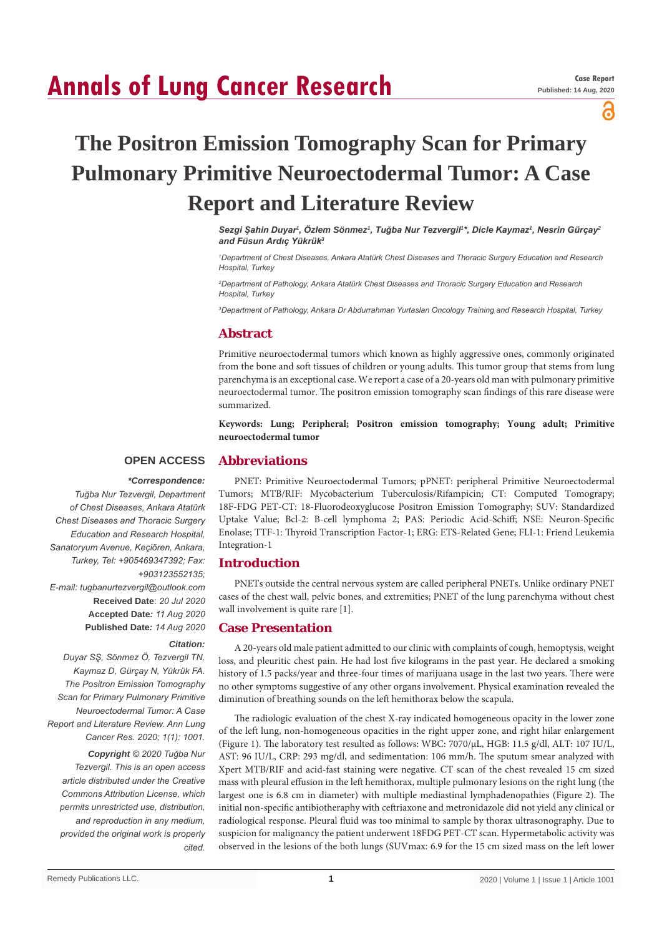# **Annals of Lung Cancer Research**

പ

# **The Positron Emission Tomography Scan for Primary Pulmonary Primitive Neuroectodermal Tumor: A Case Report and Literature Review**

*Sezgi Şahin Duyar<sup>1</sup> , Özlem Sönmez1 , Tuğba Nur Tezvergil<sup>1</sup> \*, Dicle Kaymaz<sup>1</sup> , Nesrin Gürçay<sup>2</sup> and Füsun Ardıç Yükrük<sup>3</sup>*

*1 Department of Chest Diseases, Ankara Atatürk Chest Diseases and Thoracic Surgery Education and Research Hospital, Turkey*

*2 Department of Pathology, Ankara Atatürk Chest Diseases and Thoracic Surgery Education and Research Hospital, Turkey*

*3 Department of Pathology, Ankara Dr Abdurrahman Yurtaslan Oncology Training and Research Hospital, Turkey*

## **Abstract**

Primitive neuroectodermal tumors which known as highly aggressive ones, commonly originated from the bone and soft tissues of children or young adults. This tumor group that stems from lung parenchyma is an exceptional case. We report a case of a 20-years old man with pulmonary primitive neuroectodermal tumor. The positron emission tomography scan findings of this rare disease were summarized.

**Keywords: Lung; Peripheral; Positron emission tomography; Young adult; Primitive neuroectodermal tumor**

#### **OPEN ACCESS Abbreviations**

*Citation:* 

#### *\*Correspondence:*

*Tuğba Nur Tezvergil, Department of Chest Diseases, Ankara Atatürk Chest Diseases and Thoracic Surgery Education and Research Hospital, Sanatoryum Avenue, Keçiören, Ankara, Turkey, Tel: +905469347392; Fax: +903123552135; E-mail: tugbanurtezvergil@outlook.com* **Received Date**: *20 Jul 2020* **Accepted Date***: 11 Aug 2020* **Published Date***: 14 Aug 2020*

*Duyar SŞ, Sönmez Ö, Tezvergil TN, Kaymaz D, Gürçay N, Yükrük FA. The Positron Emission Tomography Scan for Primary Pulmonary Primitive Neuroectodermal Tumor: A Case Report and Literature Review. Ann Lung Cancer Res. 2020; 1(1): 1001.*

*Copyright © 2020 Tuğba Nur Tezvergil. This is an open access article distributed under the Creative Commons Attribution License, which permits unrestricted use, distribution, and reproduction in any medium, provided the original work is properly cited.*

PNET: Primitive Neuroectodermal Tumors; pPNET: peripheral Primitive Neuroectodermal Tumors; MTB/RIF: Mycobacterium Tuberculosis/Rifampicin; CT: Computed Tomograpy; 18F-FDG PET-CT: 18-Fluorodeoxyglucose Positron Emission Tomography; SUV: Standardized Uptake Value; Bcl-2: B-cell lymphoma 2; PAS: Periodic Acid-Schiff; NSE: Neuron-Specific Enolase; TTF-1: Thyroid Transcription Factor-1; ERG: ETS-Related Gene; FLI-1: Friend Leukemia Integration-1

### **Introduction**

PNETs outside the central nervous system are called peripheral PNETs. Unlike ordinary PNET cases of the chest wall, pelvic bones, and extremities; PNET of the lung parenchyma without chest wall involvement is quite rare [1].

#### **Case Presentation**

A 20-years old male patient admitted to our clinic with complaints of cough, hemoptysis, weight loss, and pleuritic chest pain. He had lost five kilograms in the past year. He declared a smoking history of 1.5 packs/year and three-four times of marijuana usage in the last two years. There were no other symptoms suggestive of any other organs involvement. Physical examination revealed the diminution of breathing sounds on the left hemithorax below the scapula.

The radiologic evaluation of the chest X-ray indicated homogeneous opacity in the lower zone of the left lung, non-homogeneous opacities in the right upper zone, and right hilar enlargement (Figure 1). The laboratory test resulted as follows: WBC: 7070/µL, HGB: 11.5 g/dl, ALT: 107 IU/L, AST: 96 IU/L, CRP: 293 mg/dl, and sedimentation: 106 mm/h. The sputum smear analyzed with Xpert MTB/RIF and acid-fast staining were negative. CT scan of the chest revealed 15 cm sized mass with pleural effusion in the left hemithorax, multiple pulmonary lesions on the right lung (the largest one is 6.8 cm in diameter) with multiple mediastinal lymphadenopathies (Figure 2). The initial non-specific antibiotheraphy with ceftriaxone and metronidazole did not yield any clinical or radiological response. Pleural fluid was too minimal to sample by thorax ultrasonography. Due to suspicion for malignancy the patient underwent 18FDG PET-CT scan. Hypermetabolic activity was observed in the lesions of the both lungs (SUVmax: 6.9 for the 15 cm sized mass on the left lower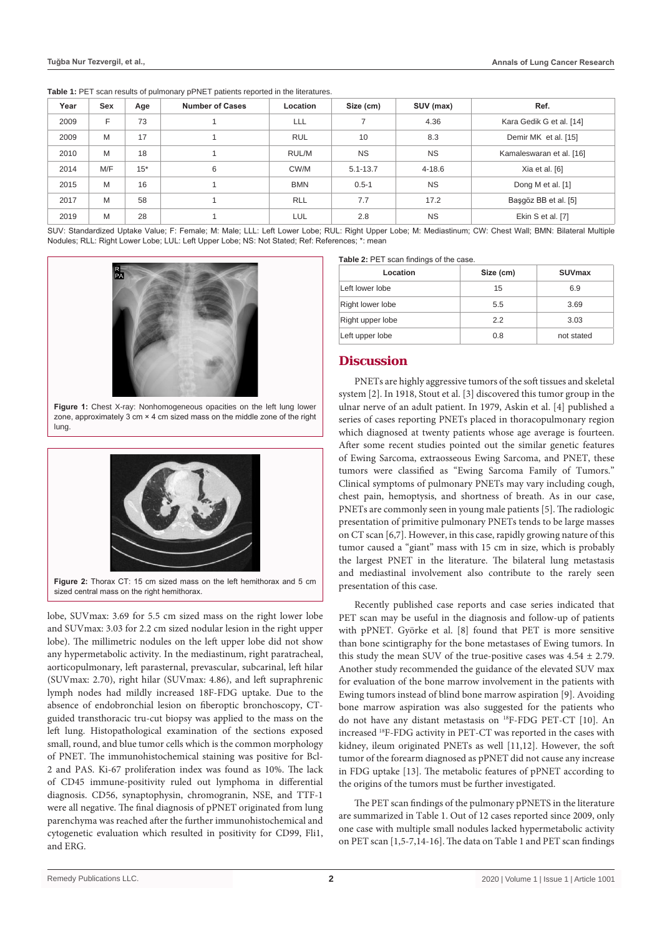| Year                                                                                                              | Sex | Age   | <b>Number of Cases</b> | Location   | Size (cm)    | SUV (max)  | Ref.                     |  |
|-------------------------------------------------------------------------------------------------------------------|-----|-------|------------------------|------------|--------------|------------|--------------------------|--|
| 2009                                                                                                              | F   | 73    |                        | <b>LLL</b> |              | 4.36       | Kara Gedik G et al. [14] |  |
| 2009                                                                                                              | M   | 17    |                        | <b>RUL</b> | 10           | 8.3        | Demir MK et al. [15]     |  |
| 2010                                                                                                              | M   | 18    |                        | RUL/M      | <b>NS</b>    | <b>NS</b>  | Kamaleswaran et al. [16] |  |
| 2014                                                                                                              | M/F | $15*$ | 6                      | CW/M       | $5.1 - 13.7$ | $4 - 18.6$ | Xia et al. [6]           |  |
| 2015                                                                                                              | M   | 16    |                        | <b>BMN</b> | $0.5 - 1$    | <b>NS</b>  | Dong M et al. [1]        |  |
| 2017                                                                                                              | M   | 58    |                        | <b>RLL</b> | 7.7          | 17.2       | Başgöz BB et al. [5]     |  |
| 2019                                                                                                              | M   | 28    |                        | LUL.       | 2.8          | <b>NS</b>  | Ekin S et al. [7]        |  |
| $\alpha$ in i an ili i ili ee i ili ili al ili ili mile tili ili ili ili al al an an ili ali mile mili al ili ili |     |       |                        |            |              |            |                          |  |

SUV: Standardized Uptake Value; F: Female; M: Male; LLL: Left Lower Lobe; RUL: Right Upper Lobe; M: Mediastinum; CW: Chest Wall; BMN: Bilateral Multiple Nodules; RLL: Right Lower Lobe; LUL: Left Upper Lobe; NS: Not Stated; Ref: References; \*: mean



**Figure 1:** Chest X-ray: Nonhomogeneous opacities on the left lung lower zone, approximately 3 cm × 4 cm sized mass on the middle zone of the right lung.



sized central mass on the right hemithorax.

lobe, SUVmax: 3.69 for 5.5 cm sized mass on the right lower lobe and SUVmax: 3.03 for 2.2 cm sized nodular lesion in the right upper lobe). The millimetric nodules on the left upper lobe did not show any hypermetabolic activity. In the mediastinum, right paratracheal, aorticopulmonary, left parasternal, prevascular, subcarinal, left hilar (SUVmax: 2.70), right hilar (SUVmax: 4.86), and left supraphrenic lymph nodes had mildly increased 18F-FDG uptake. Due to the absence of endobronchial lesion on fiberoptic bronchoscopy, CTguided transthoracic tru-cut biopsy was applied to the mass on the left lung. Histopathological examination of the sections exposed small, round, and blue tumor cells which is the common morphology of PNET. The immunohistochemical staining was positive for Bcl-2 and PAS. Ki-67 proliferation index was found as 10%. The lack of CD45 immune-positivity ruled out lymphoma in differential diagnosis. CD56, synaptophysin, chromogranin, NSE, and TTF-1 were all negative. The final diagnosis of pPNET originated from lung parenchyma was reached after the further immunohistochemical and cytogenetic evaluation which resulted in positivity for CD99, Fli1, and ERG.

|  |  | Table 2: PET scan findings of the case. |  |  |
|--|--|-----------------------------------------|--|--|
|  |  |                                         |  |  |

| Location         | Size (cm) | <b>SUVmax</b> |  |
|------------------|-----------|---------------|--|
| Left lower lobe  | 15        | 6.9           |  |
| Right lower lobe | 5.5       | 3.69          |  |
| Right upper lobe | 22        | 3.03          |  |
| Left upper lobe  | 0.8       | not stated    |  |

# **Discussion**

PNETs are highly aggressive tumors of the soft tissues and skeletal system [2]. In 1918, Stout et al. [3] discovered this tumor group in the ulnar nerve of an adult patient. In 1979, Askin et al. [4] published a series of cases reporting PNETs placed in thoracopulmonary region which diagnosed at twenty patients whose age average is fourteen. After some recent studies pointed out the similar genetic features of Ewing Sarcoma, extraosseous Ewing Sarcoma, and PNET, these tumors were classified as "Ewing Sarcoma Family of Tumors." Clinical symptoms of pulmonary PNETs may vary including cough, chest pain, hemoptysis, and shortness of breath. As in our case, PNETs are commonly seen in young male patients [5]. The radiologic presentation of primitive pulmonary PNETs tends to be large masses on CT scan [6,7]. However, in this case, rapidly growing nature of this tumor caused a "giant" mass with 15 cm in size, which is probably the largest PNET in the literature. The bilateral lung metastasis and mediastinal involvement also contribute to the rarely seen presentation of this case.

Recently published case reports and case series indicated that PET scan may be useful in the diagnosis and follow-up of patients with pPNET. Györke et al. [8] found that PET is more sensitive than bone scintigraphy for the bone metastases of Ewing tumors. In this study the mean SUV of the true-positive cases was  $4.54 \pm 2.79$ . Another study recommended the guidance of the elevated SUV max for evaluation of the bone marrow involvement in the patients with Ewing tumors instead of blind bone marrow aspiration [9]. Avoiding bone marrow aspiration was also suggested for the patients who do not have any distant metastasis on 18F-FDG PET-CT [10]. An increased 18F-FDG activity in PET-CT was reported in the cases with kidney, ileum originated PNETs as well [11,12]. However, the soft tumor of the forearm diagnosed as pPNET did not cause any increase in FDG uptake [13]. The metabolic features of pPNET according to the origins of the tumors must be further investigated.

The PET scan findings of the pulmonary pPNETS in the literature are summarized in Table 1. Out of 12 cases reported since 2009, only one case with multiple small nodules lacked hypermetabolic activity on PET scan [1,5-7,14-16]. The data on Table 1 and PET scan findings